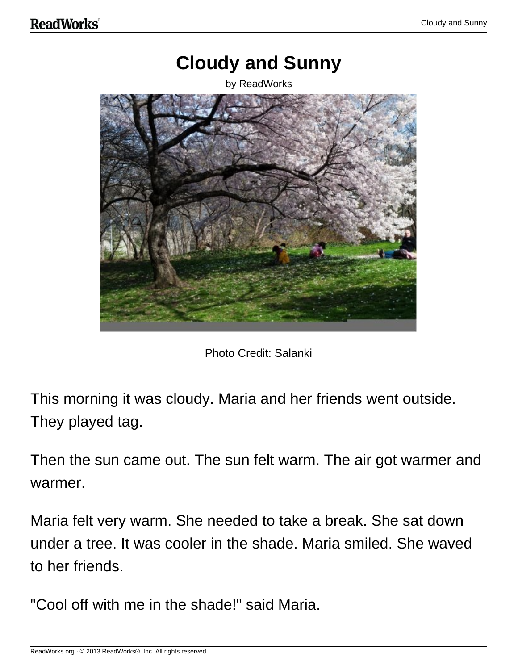## **Cloudy and Sunny**

by ReadWorks



Photo Credit: Salanki

This morning it was cloudy. Maria and her friends went outside. They played tag.

Then the sun came out. The sun felt warm. The air got warmer and warmer.

Maria felt very warm. She needed to take a break. She sat down under a tree. It was cooler in the shade. Maria smiled. She waved to her friends.

"Cool off with me in the shade!" said Maria.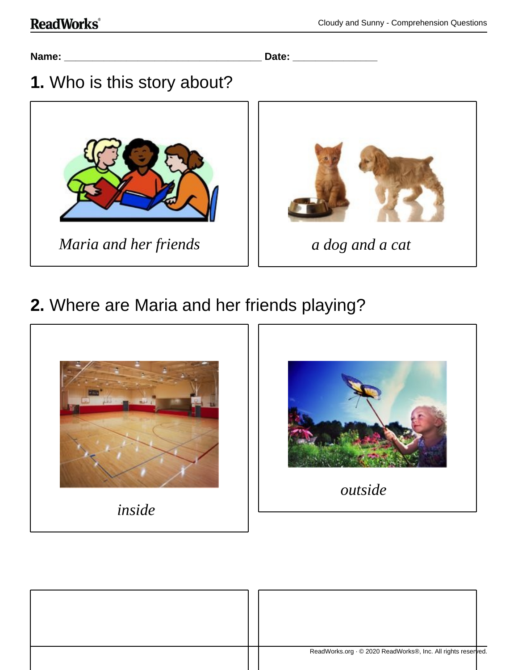#### **ReadWorks**®

**Name: \_\_\_\_\_\_\_\_\_\_\_\_\_\_\_\_\_\_\_\_\_\_\_\_\_\_\_\_\_\_\_\_\_\_\_ Date: \_\_\_\_\_\_\_\_\_\_\_\_\_\_\_**

### **1.** Who is this story about?





## **2.** Where are Maria and her friends playing?





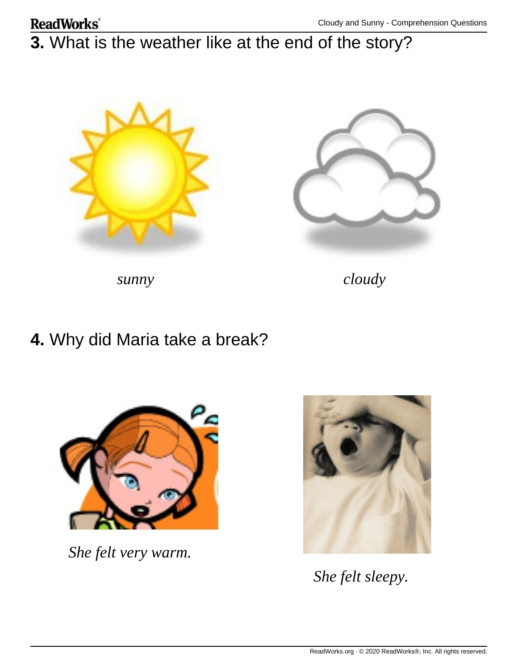## **3.** What is the weather like at the end of the story?





*sunny cloudy*

#### **4.** Why did Maria take a break?



*She felt very warm.*



*She felt sleepy.*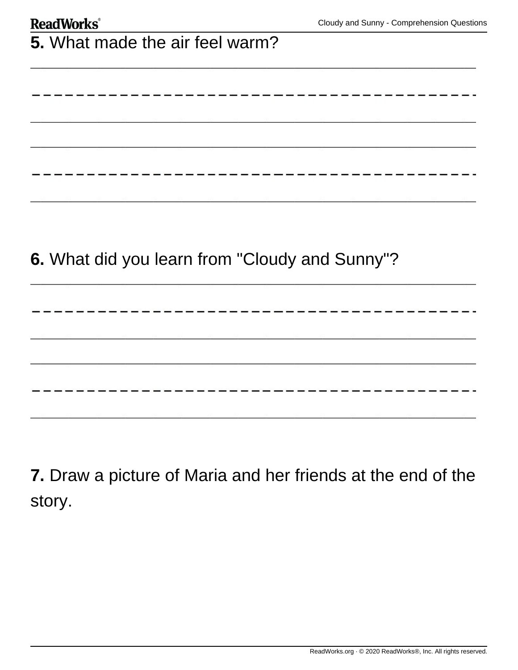| <b>ReadWorks</b> ®                             | Cloudy and Sunny - Comprehension Questior |
|------------------------------------------------|-------------------------------------------|
| 5. What made the air feel warm?                |                                           |
|                                                |                                           |
|                                                |                                           |
|                                                |                                           |
|                                                |                                           |
|                                                |                                           |
| 6. What did you learn from "Cloudy and Sunny"? |                                           |
|                                                |                                           |
|                                                |                                           |
|                                                |                                           |
|                                                |                                           |
|                                                |                                           |

**7.** Draw a picture of Maria and her friends at the end of the story.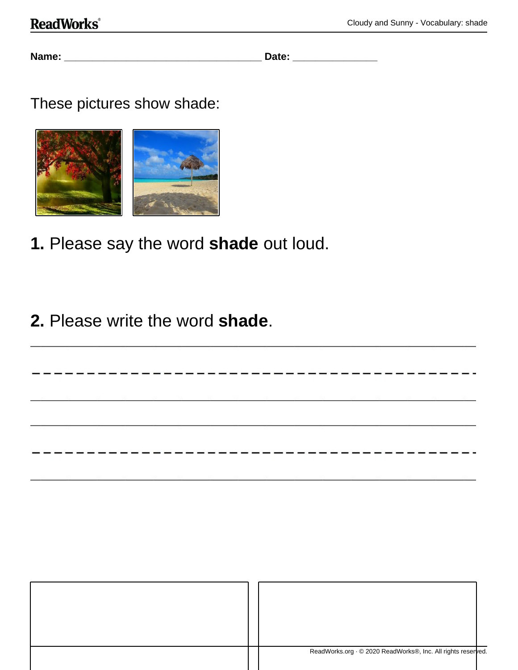#### **ReadWorks**®

**Name: \_\_\_\_\_\_\_\_\_\_\_\_\_\_\_\_\_\_\_\_\_\_\_\_\_\_\_\_\_\_\_\_\_\_\_ Date: \_\_\_\_\_\_\_\_\_\_\_\_\_\_\_**

These pictures show shade:



**1.** Please say the word **shade** out loud.

### **2.** Please write the word **shade**.

|  | ReadWorks.org · © 2020 ReadWorks®, Inc. All rights reserved. |
|--|--------------------------------------------------------------|
|  |                                                              |
|  |                                                              |

------------------------